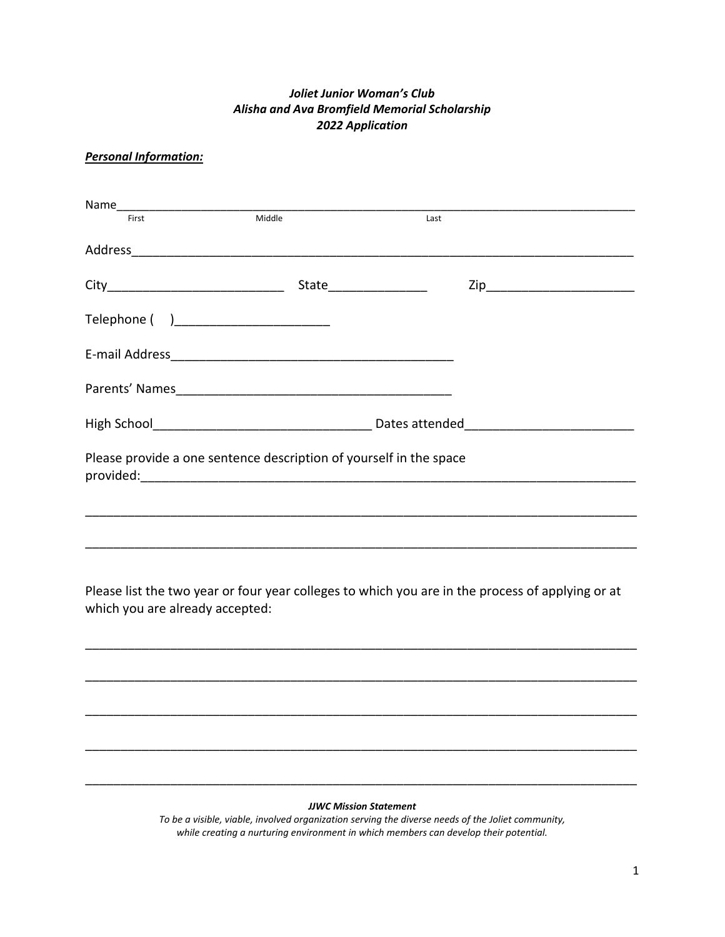## *Joliet Junior Woman's Club Alisha and Ava Bromfield Memorial Scholarship 2022 Application*

# *Personal Information:*

|                                         |                                                                    | Last                                                                                             |  |
|-----------------------------------------|--------------------------------------------------------------------|--------------------------------------------------------------------------------------------------|--|
|                                         |                                                                    |                                                                                                  |  |
|                                         |                                                                    |                                                                                                  |  |
| Telephone ( )__________________________ |                                                                    |                                                                                                  |  |
|                                         |                                                                    |                                                                                                  |  |
|                                         |                                                                    |                                                                                                  |  |
|                                         |                                                                    |                                                                                                  |  |
|                                         | Please provide a one sentence description of yourself in the space |                                                                                                  |  |
|                                         |                                                                    |                                                                                                  |  |
|                                         |                                                                    |                                                                                                  |  |
|                                         |                                                                    |                                                                                                  |  |
| which you are already accepted:         |                                                                    | Please list the two year or four year colleges to which you are in the process of applying or at |  |

#### *JJWC Mission Statement*

\_\_\_\_\_\_\_\_\_\_\_\_\_\_\_\_\_\_\_\_\_\_\_\_\_\_\_\_\_\_\_\_\_\_\_\_\_\_\_\_\_\_\_\_\_\_\_\_\_\_\_\_\_\_\_\_\_\_\_\_\_\_\_\_\_\_\_\_\_\_\_\_\_\_\_\_\_\_

\_\_\_\_\_\_\_\_\_\_\_\_\_\_\_\_\_\_\_\_\_\_\_\_\_\_\_\_\_\_\_\_\_\_\_\_\_\_\_\_\_\_\_\_\_\_\_\_\_\_\_\_\_\_\_\_\_\_\_\_\_\_\_\_\_\_\_\_\_\_\_\_\_\_\_\_\_\_

\_\_\_\_\_\_\_\_\_\_\_\_\_\_\_\_\_\_\_\_\_\_\_\_\_\_\_\_\_\_\_\_\_\_\_\_\_\_\_\_\_\_\_\_\_\_\_\_\_\_\_\_\_\_\_\_\_\_\_\_\_\_\_\_\_\_\_\_\_\_\_\_\_\_\_\_\_\_

\_\_\_\_\_\_\_\_\_\_\_\_\_\_\_\_\_\_\_\_\_\_\_\_\_\_\_\_\_\_\_\_\_\_\_\_\_\_\_\_\_\_\_\_\_\_\_\_\_\_\_\_\_\_\_\_\_\_\_\_\_\_\_\_\_\_\_\_\_\_\_\_\_\_\_\_\_\_

\_\_\_\_\_\_\_\_\_\_\_\_\_\_\_\_\_\_\_\_\_\_\_\_\_\_\_\_\_\_\_\_\_\_\_\_\_\_\_\_\_\_\_\_\_\_\_\_\_\_\_\_\_\_\_\_\_\_\_\_\_\_\_\_\_\_\_\_\_\_\_\_\_\_\_\_\_\_

*To be a visible, viable, involved organization serving the diverse needs of the Joliet community, while creating a nurturing environment in which members can develop their potential.*